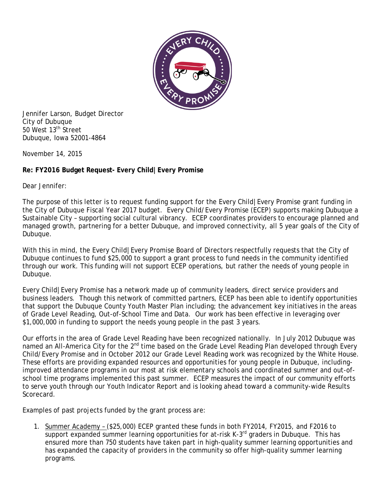

Jennifer Larson, Budget Director City of Dubuque 50 West 13<sup>th</sup> Street Dubuque, Iowa 52001-4864

November 14, 2015

## **Re: FY2016 Budget Request- Every Child|Every Promise**

Dear Jennifer:

The purpose of this letter is to request funding support for the Every Child|Every Promise grant funding in the City of Dubuque Fiscal Year 2017 budget. Every Child/Every Promise (ECEP) supports making Dubuque a Sustainable City – supporting social cultural vibrancy. ECEP coordinates providers to encourage planned and managed growth, partnering for a better Dubuque, and improved connectivity, all 5 year goals of the City of Dubuque.

With this in mind, the Every Child|Every Promise Board of Directors respectfully requests that the City of Dubuque continues to fund \$25,000 to support a grant process to fund needs in the community identified through our work. This funding will not support ECEP operations, but rather the needs of young people in Dubuque.

Every Child|Every Promise has a network made up of community leaders, direct service providers and business leaders. Though this network of committed partners, ECEP has been able to identify opportunities that support the Dubuque County Youth Master Plan including; the advancement key initiatives in the areas of Grade Level Reading, Out-of-School Time and Data. Our work has been effective in leveraging over \$1,000,000 in funding to support the needs young people in the past 3 years.

Our efforts in the area of Grade Level Reading have been recognized nationally. In July 2012 Dubuque was named an All-America City for the 2<sup>nd</sup> time based on the Grade Level Reading Plan developed through Every Child/Every Promise and in October 2012 our Grade Level Reading work was recognized by the White House. These efforts are providing expanded resources and opportunities for young people in Dubuque, includingimproved attendance programs in our most at risk elementary schools and coordinated summer and out-ofschool time programs implemented this past summer. ECEP measures the impact of our community efforts to serve youth through our Youth Indicator Report and is looking ahead toward a community-wide Results Scorecard.

Examples of past projects funded by the grant process are:

1. Summer Academy – (\$25,000) ECEP granted these funds in both FY2014, FY2015, and F2016 to support expanded summer learning opportunities for at-risk K-3<sup>rd</sup> graders in Dubuque. This has ensured more than 750 students have taken part in high-quality summer learning opportunities and has expanded the capacity of providers in the community so offer high-quality summer learning programs.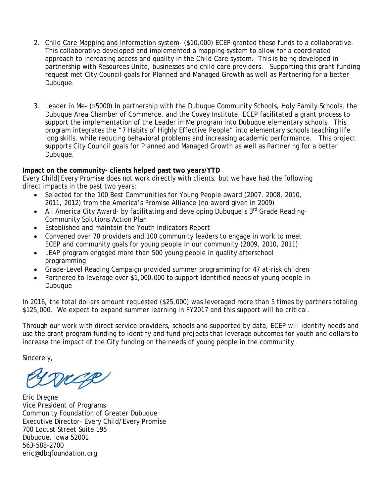- 2. Child Care Mapping and Information system- (\$10,000) ECEP granted these funds to a collaborative. This collaborative developed and implemented a mapping system to allow for a coordinated approach to increasing access and quality in the Child Care system. This is being developed in partnership with Resources Unite, businesses and child care providers. Supporting this grant funding request met City Council goals for Planned and Managed Growth as well as Partnering for a better Dubuque.
- 3. Leader in Me- (\$5000) In partnership with the Dubuque Community Schools, Holy Family Schools, the Dubuque Area Chamber of Commerce, and the Covey Institute, ECEP facilitated a grant process to support the implementation of the Leader in Me program into Dubuque elementary schools. This program integrates the "7 Habits of Highly Effective People" into elementary schools teaching life long skills, while reducing behavioral problems and increasing academic performance. This project supports City Council goals for Planned and Managed Growth as well as Partnering for a better Dubuque.

## **Impact on the community- clients helped past two years/YTD**

Every Child|Every Promise does not work directly with clients, but we have had the following direct impacts in the past two years:

- Selected for the *100 Best Communities for Young People* award (2007, 2008, 2010, 2011, 2012) from the America's Promise Alliance (no award given in 2009)
- All America City Award- by facilitating and developing Dubuque's  $3<sup>rd</sup>$  Grade Reading-Community Solutions Action Plan
- Established and maintain the Youth Indicators Report
- Convened over 70 providers and 100 community leaders to engage in work to meet ECEP and community goals for young people in our community (2009, 2010, 2011)
- LEAP program engaged more than 500 young people in quality afterschool programming
- Grade-Level Reading Campaign provided summer programming for 47 at-risk children
- Partnered to leverage over \$1,000,000 to support identified needs of young people in Dubuque

In 2016, the total dollars amount requested (\$25,000) was leveraged more than 5 times by partners totaling \$125,000. We expect to expand summer learning in FY2017 and this support will be critical.

Through our work with direct service providers, schools and supported by data, ECEP will identify needs and use the grant program funding to identify and fund projects that leverage outcomes for youth and dollars to increase the impact of the City funding on the needs of young people in the community.

Sincerely,

WCR

Eric Dregne Vice President of Programs Community Foundation of Greater Dubuque Executive Director- Every Child/Every Promise 700 Locust Street Suite 195 Dubuque, Iowa 52001 563-588-2700 eric@dbqfoundation.org